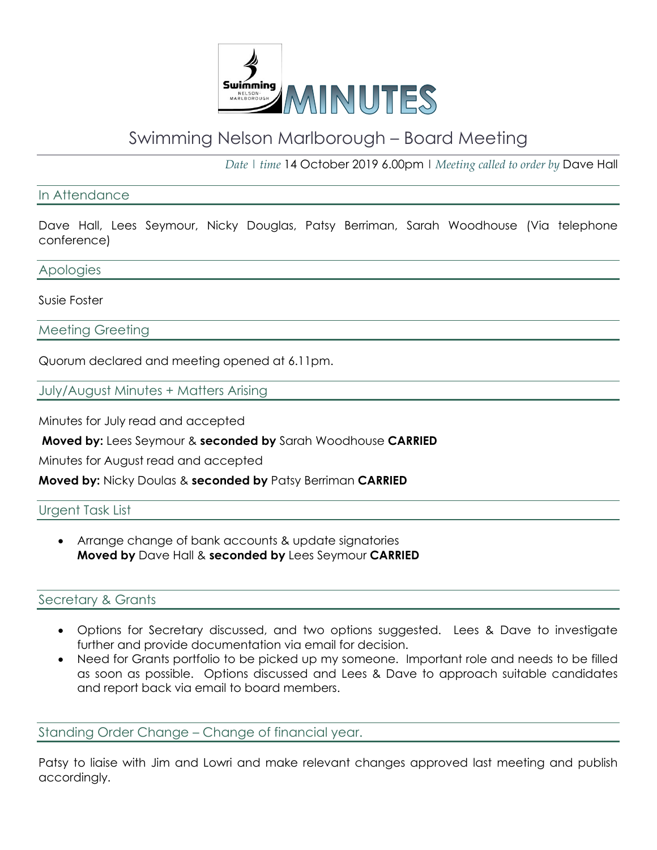

# Swimming Nelson Marlborough – Board Meeting

*Date | time* 14 October 2019 6.00pm | *Meeting called to order by* Dave Hall

## In Attendance

Dave Hall, Lees Seymour, Nicky Douglas, Patsy Berriman, Sarah Woodhouse (Via telephone conference)

Apologies

#### Susie Foster

Meeting Greeting

Quorum declared and meeting opened at 6.11pm.

July/August Minutes + Matters Arising

Minutes for July read and accepted

**Moved by:** Lees Seymour & **seconded by** Sarah Woodhouse **CARRIED**

Minutes for August read and accepted

**Moved by:** Nicky Doulas & **seconded by** Patsy Berriman **CARRIED**

## Urgent Task List

• Arrange change of bank accounts & update signatories **Moved by** Dave Hall & **seconded by** Lees Seymour **CARRIED**

## Secretary & Grants

- Options for Secretary discussed, and two options suggested. Lees & Dave to investigate further and provide documentation via email for decision.
- Need for Grants portfolio to be picked up my someone. Important role and needs to be filled as soon as possible. Options discussed and Lees & Dave to approach suitable candidates and report back via email to board members.

Standing Order Change – Change of financial year.

Patsy to liaise with Jim and Lowri and make relevant changes approved last meeting and publish accordingly.